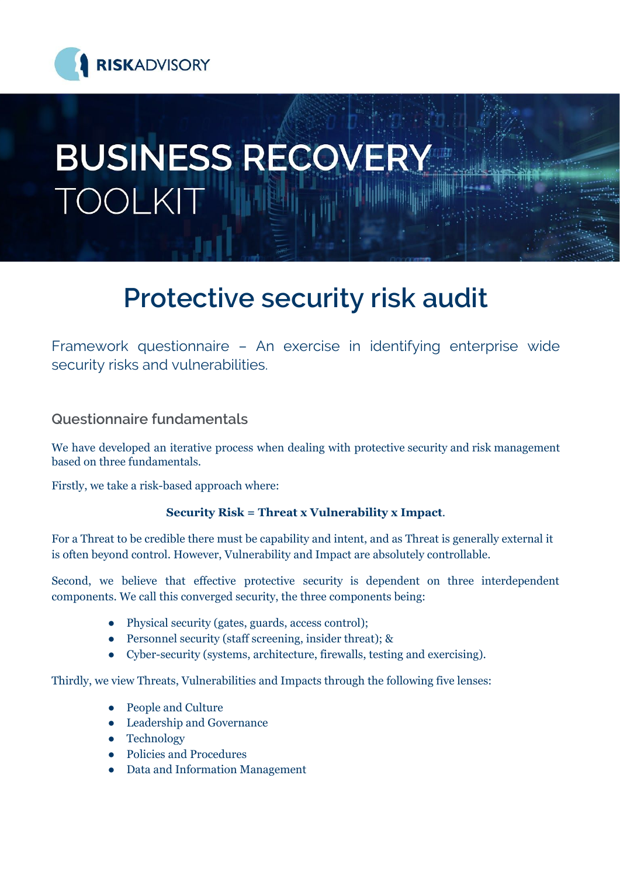

# **BUSINESS RECOVERY** TOOLKIT

# **Protective security risk audit**

Framework questionnaire – An exercise in identifying enterprise wide security risks and vulnerabilities.

# **Questionnaire fundamentals**

We have developed an iterative process when dealing with protective security and risk management based on three fundamentals.

Firstly, we take a risk-based approach where:

#### **Security Risk = Threat x Vulnerability x Impact**.

For a Threat to be credible there must be capability and intent, and as Threat is generally external it is often beyond control. However, Vulnerability and Impact are absolutely controllable.

Second, we believe that effective protective security is dependent on three interdependent components. We call this converged security, the three components being:

- Physical security (gates, guards, access control);
- Personnel security (staff screening, insider threat); &
- Cyber-security (systems, architecture, firewalls, testing and exercising).

Thirdly, we view Threats, Vulnerabilities and Impacts through the following five lenses:

- People and Culture
- Leadership and Governance
- Technology
- Policies and Procedures
- Data and Information Management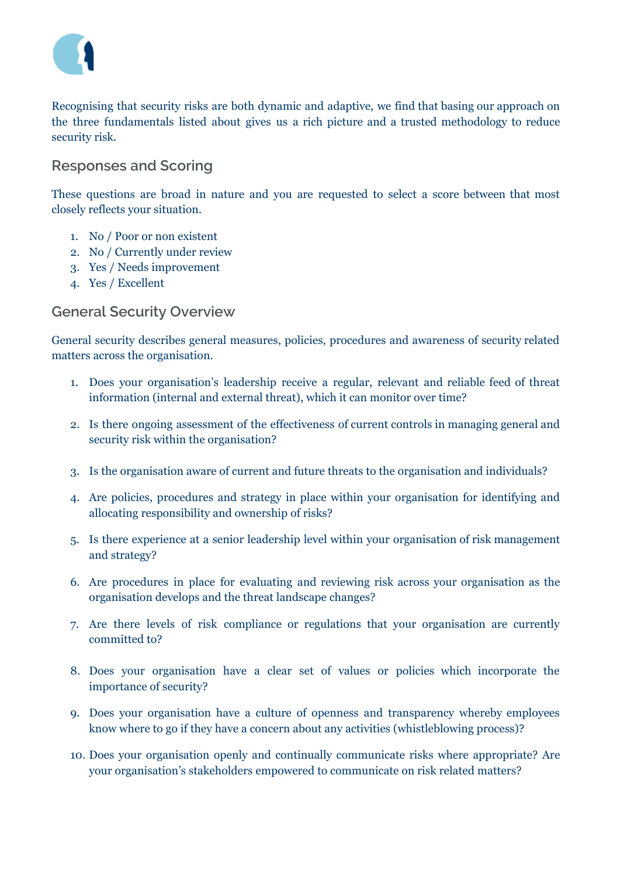

Recognising that security risks are both dynamic and adaptive, we find that basing our approach on the three fundamentals listed about gives us a rich picture and a trusted methodology to reduce security risk.

#### **Responses and Scoring**

These questions are broad in nature and you are requested to select a score between that most closely reflects your situation.

- 1. No / Poor or non existent
- 2. No / Currently under review
- 3. Yes / Needs improvement
- 4. Yes / Excellent

#### **General Security Overview**

General security describes general measures, policies, procedures and awareness of security related matters across the organisation.

- 1. Does your organisation's leadership receive a regular, relevant and reliable feed of threat information (internal and external threat), which it can monitor over time?
- 2. Is there ongoing assessment of the effectiveness of current controls in managing general and security risk within the organisation?
- 3. Is the organisation aware of current and future threats to the organisation and individuals?
- 4. Are policies, procedures and strategy in place within your organisation for identifying and allocating responsibility and ownership of risks?
- 5. Is there experience at a senior leadership level within your organisation of risk management and strategy?
- 6. Are procedures in place for evaluating and reviewing risk across your organisation as the organisation develops and the threat landscape changes?
- 7. Are there levels of risk compliance or regulations that your organisation are currently committed to?
- 8. Does your organisation have a clear set of values or policies which incorporate the importance of security?
- 9. Does your organisation have a culture of openness and transparency whereby employees know where to go if they have a concern about any activities (whistleblowing process)?
- 10. Does your organisation openly and continually communicate risks where appropriate? Are your organisation's stakeholders empowered to communicate on risk related matters?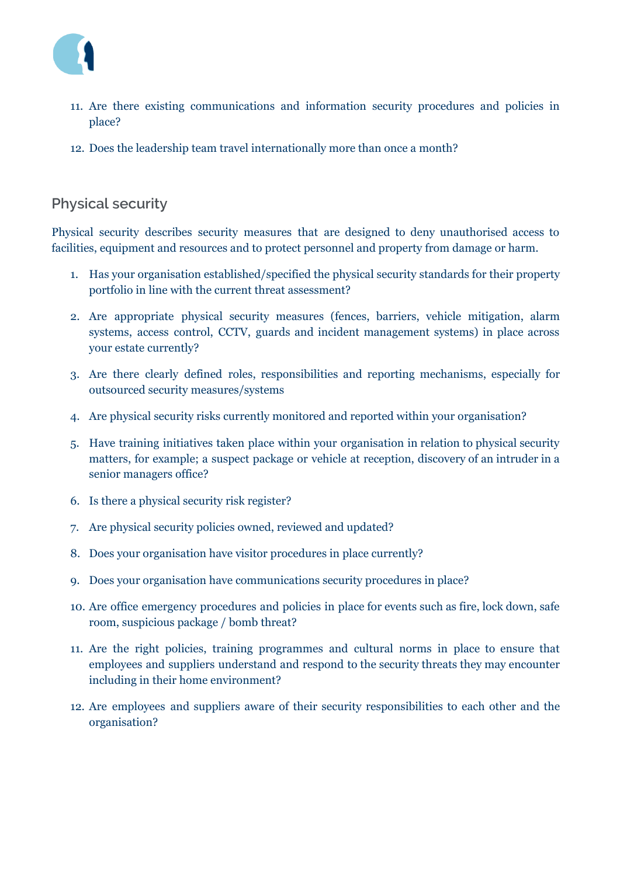

- 11. Are there existing communications and information security procedures and policies in place?
- 12. Does the leadership team travel internationally more than once a month?

# **Physical security**

Physical security describes security measures that are designed to deny unauthorised access to facilities, equipment and resources and to protect personnel and property from damage or harm.

- 1. Has your organisation established/specified the physical security standards for their property portfolio in line with the current threat assessment?
- 2. Are appropriate physical security measures (fences, barriers, vehicle mitigation, alarm systems, access control, CCTV, guards and incident management systems) in place across your estate currently?
- 3. Are there clearly defined roles, responsibilities and reporting mechanisms, especially for outsourced security measures/systems
- 4. Are physical security risks currently monitored and reported within your organisation?
- 5. Have training initiatives taken place within your organisation in relation to physical security matters, for example; a suspect package or vehicle at reception, discovery of an intruder in a senior managers office?
- 6. Is there a physical security risk register?
- 7. Are physical security policies owned, reviewed and updated?
- 8. Does your organisation have visitor procedures in place currently?
- 9. Does your organisation have communications security procedures in place?
- 10. Are office emergency procedures and policies in place for events such as fire, lock down, safe room, suspicious package / bomb threat?
- 11. Are the right policies, training programmes and cultural norms in place to ensure that employees and suppliers understand and respond to the security threats they may encounter including in their home environment?
- 12. Are employees and suppliers aware of their security responsibilities to each other and the organisation?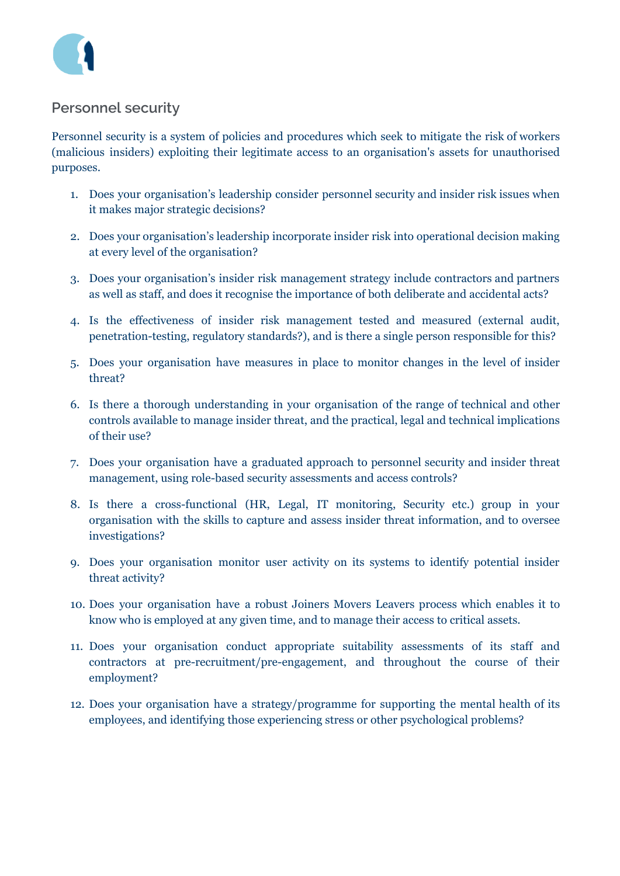

## **Personnel security**

Personnel security is a system of policies and procedures which seek to mitigate the risk of workers (malicious insiders) exploiting their legitimate access to an organisation's assets for unauthorised purposes.

- 1. Does your organisation's leadership consider personnel security and insider risk issues when it makes major strategic decisions?
- 2. Does your organisation's leadership incorporate insider risk into operational decision making at every level of the organisation?
- 3. Does your organisation's insider risk management strategy include contractors and partners as well as staff, and does it recognise the importance of both deliberate and accidental acts?
- 4. Is the effectiveness of insider risk management tested and measured (external audit, penetration-testing, regulatory standards?), and is there a single person responsible for this?
- 5. Does your organisation have measures in place to monitor changes in the level of insider threat?
- 6. Is there a thorough understanding in your organisation of the range of technical and other controls available to manage insider threat, and the practical, legal and technical implications of their use?
- 7. Does your organisation have a graduated approach to personnel security and insider threat management, using role-based security assessments and access controls?
- 8. Is there a cross-functional (HR, Legal, IT monitoring, Security etc.) group in your organisation with the skills to capture and assess insider threat information, and to oversee investigations?
- 9. Does your organisation monitor user activity on its systems to identify potential insider threat activity?
- 10. Does your organisation have a robust Joiners Movers Leavers process which enables it to know who is employed at any given time, and to manage their access to critical assets.
- 11. Does your organisation conduct appropriate suitability assessments of its staff and contractors at pre-recruitment/pre-engagement, and throughout the course of their employment?
- 12. Does your organisation have a strategy/programme for supporting the mental health of its employees, and identifying those experiencing stress or other psychological problems?